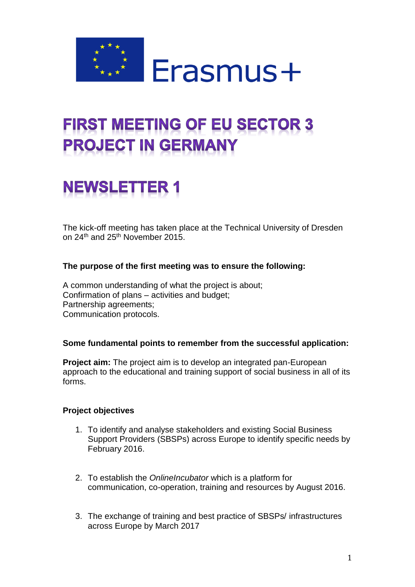

## **FIRST MEETING OF EU SECTOR 3 PROJECT IN GERMANY**

# **NEWSLETTER 1**

The kick-off meeting has taken place at the Technical University of Dresden on 24<sup>th</sup> and 25<sup>th</sup> November 2015.

### **The purpose of the first meeting was to ensure the following:**

A common understanding of what the project is about; Confirmation of plans – activities and budget; Partnership agreements; Communication protocols.

#### **Some fundamental points to remember from the successful application:**

**Project aim:** The project aim is to develop an integrated pan-European approach to the educational and training support of social business in all of its forms.

#### **Project objectives**

- 1. To identify and analyse stakeholders and existing Social Business Support Providers (SBSPs) across Europe to identify specific needs by February 2016.
- 2. To establish the *OnlineIncubator* which is a platform for communication, co-operation, training and resources by August 2016.
- 3. The exchange of training and best practice of SBSPs/ infrastructures across Europe by March 2017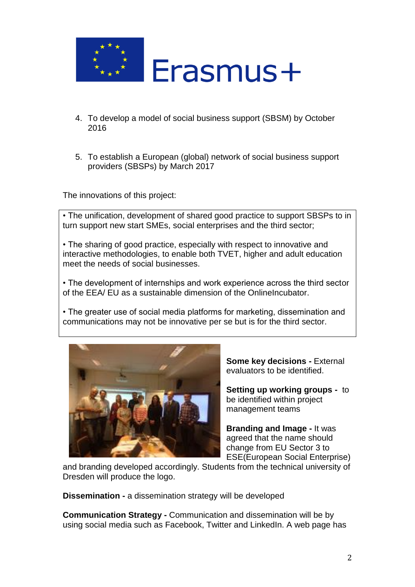

- 4. To develop a model of social business support (SBSM) by October 2016
- 5. To establish a European (global) network of social business support providers (SBSPs) by March 2017

The innovations of this project:

• The unification, development of shared good practice to support SBSPs to in turn support new start SMEs, social enterprises and the third sector;

• The sharing of good practice, especially with respect to innovative and interactive methodologies, to enable both TVET, higher and adult education meet the needs of social businesses.

• The development of internships and work experience across the third sector of the EEA/ EU as a sustainable dimension of the OnlineIncubator.

• The greater use of social media platforms for marketing, dissemination and communications may not be innovative per se but is for the third sector.



**Some key decisions -** External evaluators to be identified.

**Setting up working groups -** to be identified within project management teams

**Branding and Image -** It was agreed that the name should change from EU Sector 3 to ESE(European Social Enterprise)

and branding developed accordingly. Students from the technical university of Dresden will produce the logo.

**Dissemination -** a dissemination strategy will be developed

**Communication Strategy -** Communication and dissemination will be by using social media such as Facebook, Twitter and LinkedIn. A web page has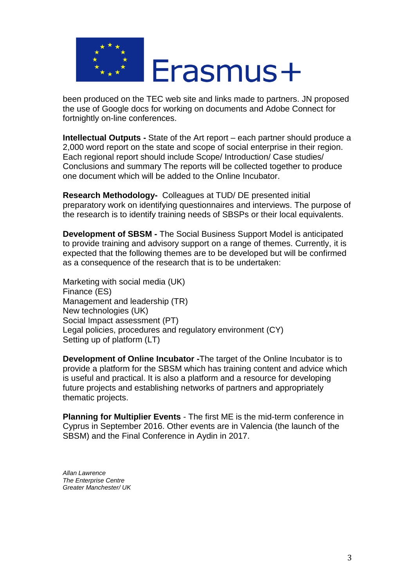

been produced on the TEC web site and links made to partners. JN proposed the use of Google docs for working on documents and Adobe Connect for fortnightly on-line conferences.

**Intellectual Outputs -** State of the Art report – each partner should produce a 2,000 word report on the state and scope of social enterprise in their region. Each regional report should include Scope/ Introduction/ Case studies/ Conclusions and summary The reports will be collected together to produce one document which will be added to the Online Incubator.

**Research Methodology-** Colleagues at TUD/ DE presented initial preparatory work on identifying questionnaires and interviews. The purpose of the research is to identify training needs of SBSPs or their local equivalents.

**Development of SBSM -** The Social Business Support Model is anticipated to provide training and advisory support on a range of themes. Currently, it is expected that the following themes are to be developed but will be confirmed as a consequence of the research that is to be undertaken:

Marketing with social media (UK) Finance (ES) Management and leadership (TR) New technologies (UK) Social Impact assessment (PT) Legal policies, procedures and regulatory environment (CY) Setting up of platform (LT)

**Development of Online Incubator -**The target of the Online Incubator is to provide a platform for the SBSM which has training content and advice which is useful and practical. It is also a platform and a resource for developing future projects and establishing networks of partners and appropriately thematic projects.

**Planning for Multiplier Events** - The first ME is the mid-term conference in Cyprus in September 2016. Other events are in Valencia (the launch of the SBSM) and the Final Conference in Aydin in 2017.

*Allan Lawrence The Enterprise Centre Greater Manchester/ UK*